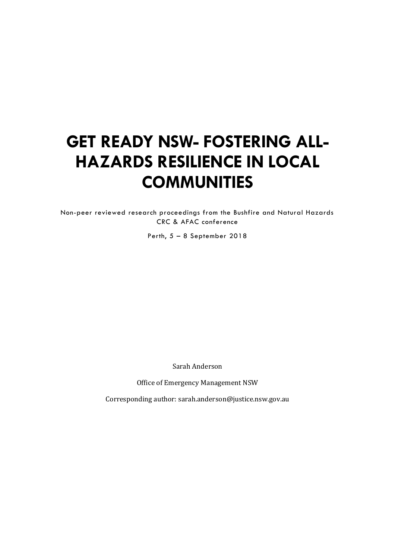# **GET READY NSW- FOSTERING ALL-HAZARDS RESILIENCE IN LOCAL COMMUNITIES**

Non-peer reviewed research proceedings from the Bushfire and Natural Hazards CRC & AFAC conference

Perth, 5 – 8 September 2018

Sarah Anderson

Office of Emergency Management NSW

Corresponding author: sarah.anderson@justice.nsw.gov.au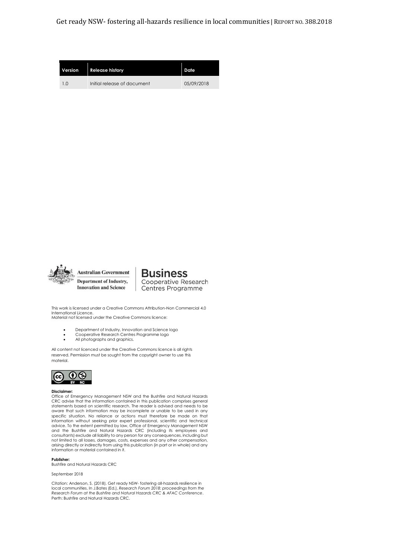Get ready NSW- fostering all-hazards resilience in local communities | REPORT NO. 388.2018

| Version | <b>Release history</b>      | Date       |
|---------|-----------------------------|------------|
| 1.0     | Initial release of document | 05/09/2018 |



**Australian Government Department of Industry, Innovation and Science** 

**Business** Cooperative Research Centres Programme

This work is licensed under a Creative Commons Attribution-Non Commercial 4.0 International Licence. Material not licensed under the Creative Commons licence:

- Department of Industry, Innovation and Science logo
- Cooperative Research Centres Programme logo
- All photographs and graphics.

All content not licenced under the Creative Commons licence is all rights reserved. Permission must be sought from the copyright owner to use this material.



#### **Disclaimer:**

Office of Emergency Management NSW and the Bushfire and Natural Hazards CRC advise that the information contained in this publication comprises general statements based on scientific research. The reader is advised and needs to be aware that such information may be incomplete or unable to be used in any specific situation. No reliance or actions must therefore be made on that information without seeking prior expert professional, scientific and technical<br>advice. To the extent permitted by law, Office of Emergency Management NSW<br>and the Bushfire and Natural Hazards CRC (including its employees a consultants) exclude all liability to any person for any consequences, including but not limited to all losses, damages, costs, expenses and any other compensation, arising directly or indirectly from using this publication (in part or in whole) and any information or material contained in it.

**Publisher:** 

Bushfire and Natural Hazards CRC

#### September 2018

Citation: Anderson, S. (2018). Get ready NSW- fostering all-hazards resilience in local communities. In J.Bates (Ed.), *Research Forum 2018: proceedings from the Research Forum at the Bushfire and Natural Hazards CRC & AFAC Conference*. Perth: Bushfire and Natural Hazards CRC.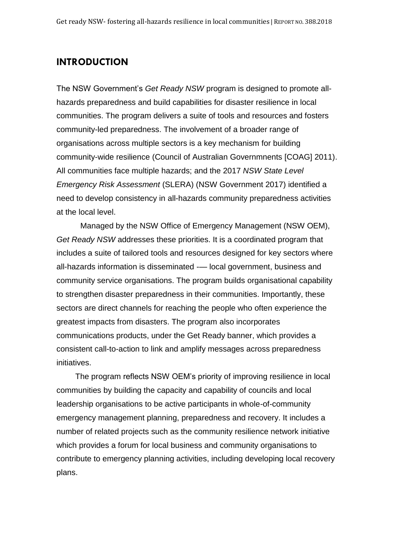## **INTRODUCTION**

The NSW Government's *Get Ready NSW* program is designed to promote allhazards preparedness and build capabilities for disaster resilience in local communities. The program delivers a suite of tools and resources and fosters community-led preparedness. The involvement of a broader range of organisations across multiple sectors is a key mechanism for building community-wide resilience (Council of Australian Governmnents [COAG] 2011). All communities face multiple hazards; and the 2017 *NSW State Level Emergency Risk Assessment* (SLERA) (NSW Government 2017) identified a need to develop consistency in all-hazards community preparedness activities at the local level.

Managed by the NSW Office of Emergency Management (NSW OEM), *Get Ready NSW* addresses these priorities. It is a coordinated program that includes a suite of tailored tools and resources designed for key sectors where all-hazards information is disseminated -— local government, business and community service organisations. The program builds organisational capability to strengthen disaster preparedness in their communities. Importantly, these sectors are direct channels for reaching the people who often experience the greatest impacts from disasters. The program also incorporates communications products, under the Get Ready banner, which provides a consistent call-to-action to link and amplify messages across preparedness initiatives.

The program reflects NSW OEM's priority of improving resilience in local communities by building the capacity and capability of councils and local leadership organisations to be active participants in whole-of-community emergency management planning, preparedness and recovery. It includes a number of related projects such as the community resilience network initiative which provides a forum for local business and community organisations to contribute to emergency planning activities, including developing local recovery plans.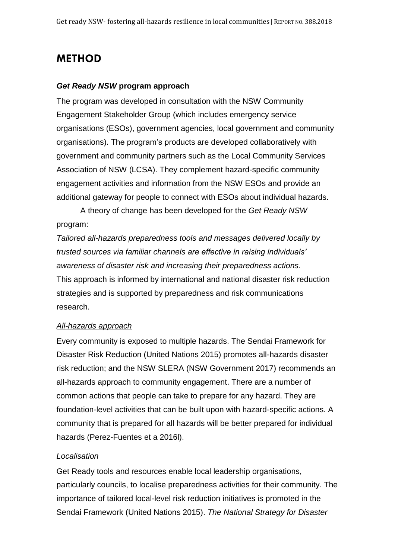# **METHOD**

#### *Get Ready NSW* **program approach**

The program was developed in consultation with the NSW Community Engagement Stakeholder Group (which includes emergency service organisations (ESOs), government agencies, local government and community organisations). The program's products are developed collaboratively with government and community partners such as the Local Community Services Association of NSW (LCSA). They complement hazard-specific community engagement activities and information from the NSW ESOs and provide an additional gateway for people to connect with ESOs about individual hazards.

A theory of change has been developed for the *Get Ready NSW* program:

*Tailored all-hazards preparedness tools and messages delivered locally by trusted sources via familiar channels are effective in raising individuals' awareness of disaster risk and increasing their preparedness actions.* This approach is informed by international and national disaster risk reduction strategies and is supported by preparedness and risk communications research.

#### *All-hazards approach*

Every community is exposed to multiple hazards. The Sendai Framework for Disaster Risk Reduction (United Nations 2015) promotes all-hazards disaster risk reduction; and the NSW SLERA (NSW Government 2017) recommends an all-hazards approach to community engagement. There are a number of common actions that people can take to prepare for any hazard. They are foundation-level activities that can be built upon with hazard-specific actions. A community that is prepared for all hazards will be better prepared for individual hazards (Perez-Fuentes et a 2016l).

#### *Localisation*

Get Ready tools and resources enable local leadership organisations, particularly councils, to localise preparedness activities for their community. The importance of tailored local-level risk reduction initiatives is promoted in the Sendai Framework (United Nations 2015). *The National Strategy for Disaster*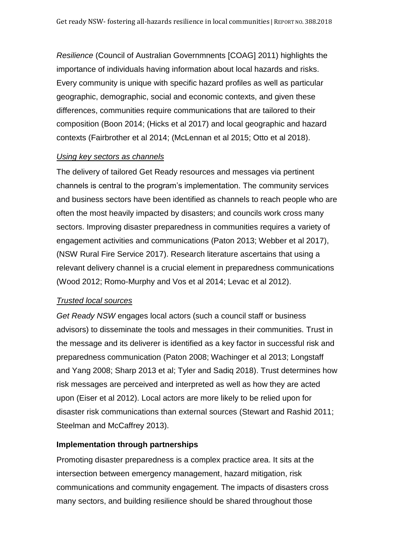*Resilience* (Council of Australian Governmnents [COAG] 2011) highlights the importance of individuals having information about local hazards and risks. Every community is unique with specific hazard profiles as well as particular geographic, demographic, social and economic contexts, and given these differences, communities require communications that are tailored to their composition (Boon 2014; (Hicks et al 2017) and local geographic and hazard contexts (Fairbrother et al 2014; (McLennan et al 2015; Otto et al 2018).

#### *Using key sectors as channels*

The delivery of tailored Get Ready resources and messages via pertinent channels is central to the program's implementation. The community services and business sectors have been identified as channels to reach people who are often the most heavily impacted by disasters; and councils work cross many sectors. Improving disaster preparedness in communities requires a variety of engagement activities and communications (Paton 2013; Webber et al 2017), (NSW Rural Fire Service 2017). Research literature ascertains that using a relevant delivery channel is a crucial element in preparedness communications (Wood 2012; Romo-Murphy and Vos et al 2014; Levac et al 2012).

#### *Trusted local sources*

*Get Ready NSW* engages local actors (such a council staff or business advisors) to disseminate the tools and messages in their communities. Trust in the message and its deliverer is identified as a key factor in successful risk and preparedness communication (Paton 2008; Wachinger et al 2013; Longstaff and Yang 2008; Sharp 2013 et al; Tyler and Sadiq 2018). Trust determines how risk messages are perceived and interpreted as well as how they are acted upon (Eiser et al 2012). Local actors are more likely to be relied upon for disaster risk communications than external sources (Stewart and Rashid 2011; Steelman and McCaffrey 2013).

### **Implementation through partnerships**

Promoting disaster preparedness is a complex practice area. It sits at the intersection between emergency management, hazard mitigation, risk communications and community engagement. The impacts of disasters cross many sectors, and building resilience should be shared throughout those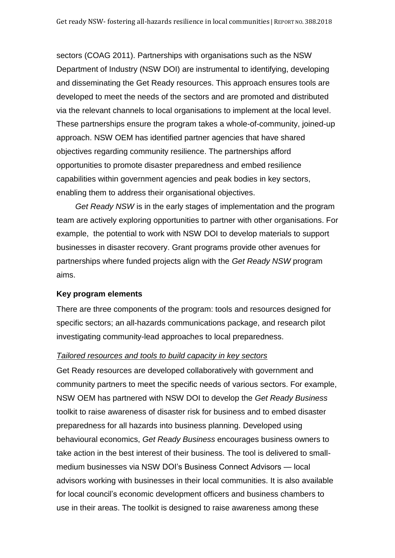sectors (COAG 2011). Partnerships with organisations such as the NSW Department of Industry (NSW DOI) are instrumental to identifying, developing and disseminating the Get Ready resources. This approach ensures tools are developed to meet the needs of the sectors and are promoted and distributed via the relevant channels to local organisations to implement at the local level. These partnerships ensure the program takes a whole-of-community, joined-up approach. NSW OEM has identified partner agencies that have shared objectives regarding community resilience. The partnerships afford opportunities to promote disaster preparedness and embed resilience capabilities within government agencies and peak bodies in key sectors, enabling them to address their organisational objectives.

*Get Ready NSW* is in the early stages of implementation and the program team are actively exploring opportunities to partner with other organisations. For example, the potential to work with NSW DOI to develop materials to support businesses in disaster recovery. Grant programs provide other avenues for partnerships where funded projects align with the *Get Ready NSW* program aims.

#### **Key program elements**

There are three components of the program: tools and resources designed for specific sectors; an all-hazards communications package, and research pilot investigating community-lead approaches to local preparedness.

#### *Tailored resources and tools to build capacity in key sectors*

Get Ready resources are developed collaboratively with government and community partners to meet the specific needs of various sectors. For example, NSW OEM has partnered with NSW DOI to develop the *Get Ready Business* toolkit to raise awareness of disaster risk for business and to embed disaster preparedness for all hazards into business planning. Developed using behavioural economics, *Get Ready Business* encourages business owners to take action in the best interest of their business. The tool is delivered to smallmedium businesses via NSW DOI's Business Connect Advisors — local advisors working with businesses in their local communities. It is also available for local council's economic development officers and business chambers to use in their areas. The toolkit is designed to raise awareness among these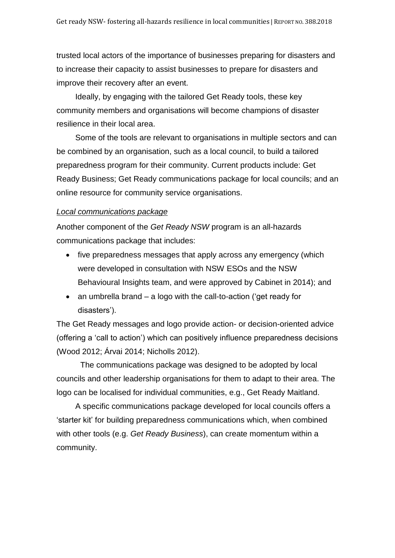trusted local actors of the importance of businesses preparing for disasters and to increase their capacity to assist businesses to prepare for disasters and improve their recovery after an event.

Ideally, by engaging with the tailored Get Ready tools, these key community members and organisations will become champions of disaster resilience in their local area.

Some of the tools are relevant to organisations in multiple sectors and can be combined by an organisation, such as a local council, to build a tailored preparedness program for their community. Current products include: Get Ready Business; Get Ready communications package for local councils; and an online resource for community service organisations.

#### *Local communications package*

Another component of the *Get Ready NSW* program is an all-hazards communications package that includes:

- five preparedness messages that apply across any emergency (which were developed in consultation with NSW ESOs and the NSW Behavioural Insights team, and were approved by Cabinet in 2014); and
- an umbrella brand a logo with the call-to-action ('get ready for disasters').

The Get Ready messages and logo provide action- or decision-oriented advice (offering a 'call to action') which can positively influence preparedness decisions (Wood 2012; Árvai 2014; Nicholls 2012).

The communications package was designed to be adopted by local councils and other leadership organisations for them to adapt to their area. The logo can be localised for individual communities, e.g., Get Ready Maitland.

A specific communications package developed for local councils offers a 'starter kit' for building preparedness communications which, when combined with other tools (e.g. *Get Ready Business*), can create momentum within a community.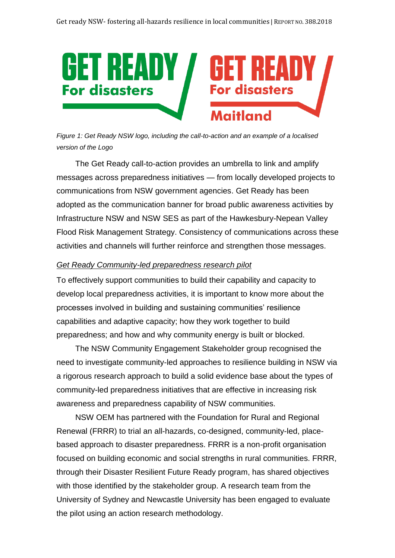

*Figure 1: Get Ready NSW logo, including the call-to-action and an example of a localised version of the Logo*

The Get Ready call-to-action provides an umbrella to link and amplify messages across preparedness initiatives — from locally developed projects to communications from NSW government agencies. Get Ready has been adopted as the communication banner for broad public awareness activities by Infrastructure NSW and NSW SES as part of the Hawkesbury-Nepean Valley Flood Risk Management Strategy. Consistency of communications across these activities and channels will further reinforce and strengthen those messages.

#### *Get Ready Community-led preparedness research pilot*

To effectively support communities to build their capability and capacity to develop local preparedness activities, it is important to know more about the processes involved in building and sustaining communities' resilience capabilities and adaptive capacity; how they work together to build preparedness; and how and why community energy is built or blocked.

The NSW Community Engagement Stakeholder group recognised the need to investigate community-led approaches to resilience building in NSW via a rigorous research approach to build a solid evidence base about the types of community-led preparedness initiatives that are effective in increasing risk awareness and preparedness capability of NSW communities.

NSW OEM has partnered with the Foundation for Rural and Regional Renewal (FRRR) to trial an all-hazards, co-designed, community-led, placebased approach to disaster preparedness. FRRR is a non-profit organisation focused on building economic and social strengths in rural communities. FRRR, through their Disaster Resilient Future Ready program, has shared objectives with those identified by the stakeholder group. A research team from the University of Sydney and Newcastle University has been engaged to evaluate the pilot using an action research methodology.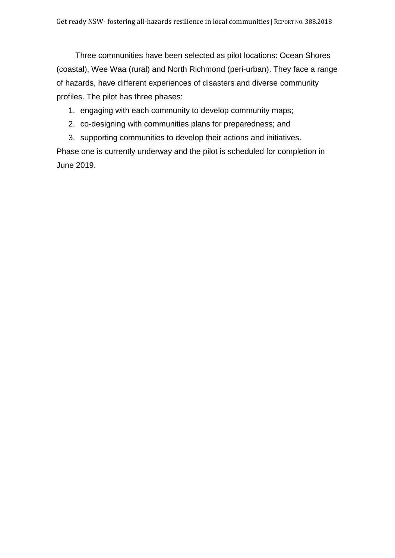Three communities have been selected as pilot locations: Ocean Shores (coastal), Wee Waa (rural) and North Richmond (peri-urban). They face a range of hazards, have different experiences of disasters and diverse community profiles. The pilot has three phases:

- 1. engaging with each community to develop community maps;
- 2. co-designing with communities plans for preparedness; and

3. supporting communities to develop their actions and initiatives. Phase one is currently underway and the pilot is scheduled for completion in June 2019.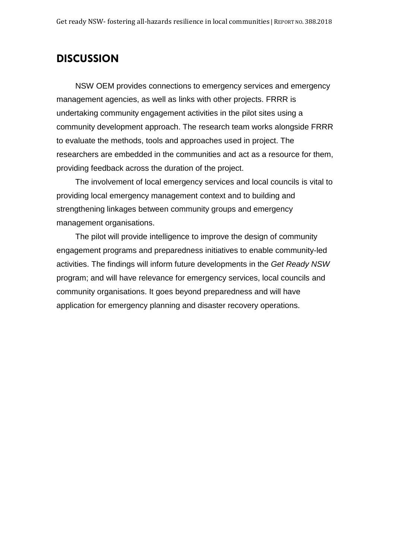## **DISCUSSION**

NSW OEM provides connections to emergency services and emergency management agencies, as well as links with other projects. FRRR is undertaking community engagement activities in the pilot sites using a community development approach. The research team works alongside FRRR to evaluate the methods, tools and approaches used in project. The researchers are embedded in the communities and act as a resource for them, providing feedback across the duration of the project.

The involvement of local emergency services and local councils is vital to providing local emergency management context and to building and strengthening linkages between community groups and emergency management organisations.

The pilot will provide intelligence to improve the design of community engagement programs and preparedness initiatives to enable community-led activities. The findings will inform future developments in the *Get Ready NSW*  program; and will have relevance for emergency services, local councils and community organisations. It goes beyond preparedness and will have application for emergency planning and disaster recovery operations.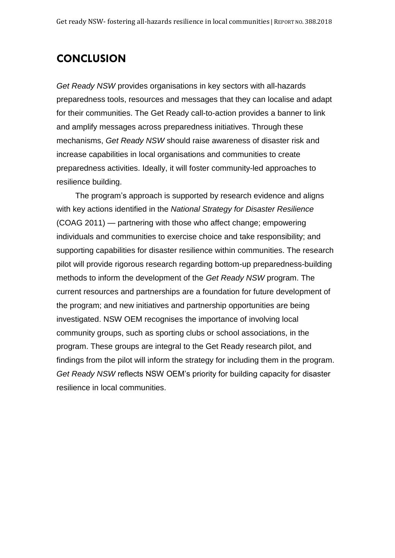# **CONCLUSION**

*Get Ready NSW* provides organisations in key sectors with all-hazards preparedness tools, resources and messages that they can localise and adapt for their communities. The Get Ready call-to-action provides a banner to link and amplify messages across preparedness initiatives. Through these mechanisms, *Get Ready NSW* should raise awareness of disaster risk and increase capabilities in local organisations and communities to create preparedness activities. Ideally, it will foster community-led approaches to resilience building.

The program's approach is supported by research evidence and aligns with key actions identified in the *National Strategy for Disaster Resilience* (COAG 2011) — partnering with those who affect change; empowering individuals and communities to exercise choice and take responsibility; and supporting capabilities for disaster resilience within communities. The research pilot will provide rigorous research regarding bottom-up preparedness-building methods to inform the development of the *Get Ready NSW* program. The current resources and partnerships are a foundation for future development of the program; and new initiatives and partnership opportunities are being investigated. NSW OEM recognises the importance of involving local community groups, such as sporting clubs or school associations, in the program. These groups are integral to the Get Ready research pilot, and findings from the pilot will inform the strategy for including them in the program. *Get Ready NSW* reflects NSW OEM's priority for building capacity for disaster resilience in local communities.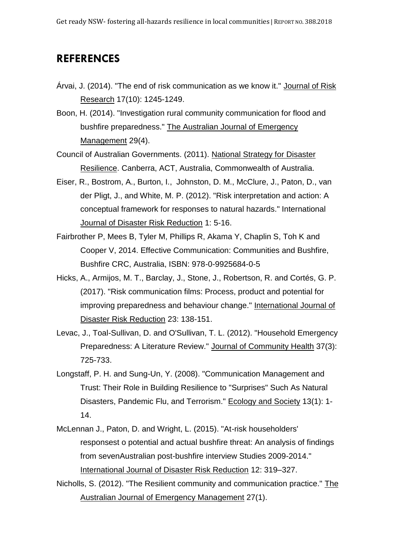# **REFERENCES**

- Árvai, J. (2014). "The end of risk communication as we know it." Journal of Risk Research 17(10): 1245-1249.
- Boon, H. (2014). "Investigation rural community communication for flood and bushfire preparedness." The Australian Journal of Emergency Management 29(4).

Council of Australian Governments. (2011). National Strategy for Disaster Resilience. Canberra, ACT, Australia, Commonwealth of Australia.

- Eiser, R., Bostrom, A., Burton, I., Johnston, D. M., McClure, J., Paton, D., van der Pligt, J., and White, M. P. (2012). "Risk interpretation and action: A conceptual framework for responses to natural hazards." International Journal of Disaster Risk Reduction 1: 5-16.
- Fairbrother P, Mees B, Tyler M, Phillips R, Akama Y, Chaplin S, Toh K and Cooper V, 2014. Effective Communication: Communities and Bushfire, Bushfire CRC, Australia, ISBN: 978-0-9925684-0-5
- Hicks, A., Armijos, M. T., Barclay, J., Stone, J., Robertson, R. and Cortés, G. P. (2017). "Risk communication films: Process, product and potential for improving preparedness and behaviour change." International Journal of Disaster Risk Reduction 23: 138-151.
- Levac, J., Toal-Sullivan, D. and O'Sullivan, T. L. (2012). "Household Emergency Preparedness: A Literature Review." Journal of Community Health 37(3): 725-733.
- Longstaff, P. H. and Sung-Un, Y. (2008). "Communication Management and Trust: Their Role in Building Resilience to "Surprises" Such As Natural Disasters, Pandemic Flu, and Terrorism." Ecology and Society 13(1): 1- 14.
- McLennan J., Paton, D. and Wright, L. (2015). "At-risk householders' responsest o potential and actual bushfire threat: An analysis of findings from sevenAustralian post-bushfire interview Studies 2009-2014." International Journal of Disaster Risk Reduction 12: 319–327.

Nicholls, S. (2012). "The Resilient community and communication practice." The Australian Journal of Emergency Management 27(1).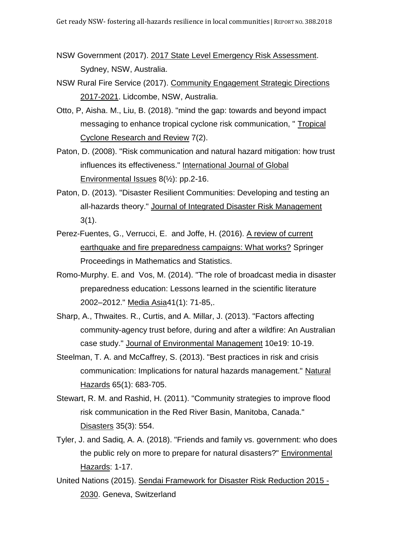- NSW Government (2017). 2017 State Level Emergency Risk Assessment. Sydney, NSW, Australia.
- NSW Rural Fire Service (2017). Community Engagement Strategic Directions 2017-2021. Lidcombe, NSW, Australia.
- Otto, P, Aisha. M., Liu, B. (2018). "mind the gap: towards and beyond impact messaging to enhance tropical cyclone risk communication, " Tropical Cyclone Research and Review 7(2).
- Paton, D. (2008). "Risk communication and natural hazard mitigation: how trust influences its effectiveness." International Journal of Global Environmental Issues  $8(\frac{1}{2})$ : pp.2-16.
- Paton, D. (2013). "Disaster Resilient Communities: Developing and testing an all-hazards theory." Journal of Integrated Disaster Risk Management 3(1).
- Perez-Fuentes, G., Verrucci, E. and Joffe, H. (2016). A review of current earthquake and fire preparedness campaigns: What works? Springer Proceedings in Mathematics and Statistics.
- Romo-Murphy. E. and Vos, M. (2014). "The role of broadcast media in disaster preparedness education: Lessons learned in the scientific literature 2002–2012." Media Asia41(1): 71-85,.
- Sharp, A., Thwaites. R., Curtis, and A. Millar, J. (2013). "Factors affecting community-agency trust before, during and after a wildfire: An Australian case study." Journal of Environmental Management 10e19: 10-19.
- Steelman, T. A. and McCaffrey, S. (2013). "Best practices in risk and crisis communication: Implications for natural hazards management." Natural Hazards 65(1): 683-705.
- Stewart, R. M. and Rashid, H. (2011). "Community strategies to improve flood risk communication in the Red River Basin, Manitoba, Canada." Disasters 35(3): 554.
- Tyler, J. and Sadiq, A. A. (2018). "Friends and family vs. government: who does the public rely on more to prepare for natural disasters?" Environmental Hazards: 1-17.
- United Nations (2015). Sendai Framework for Disaster Risk Reduction 2015 2030. Geneva, Switzerland